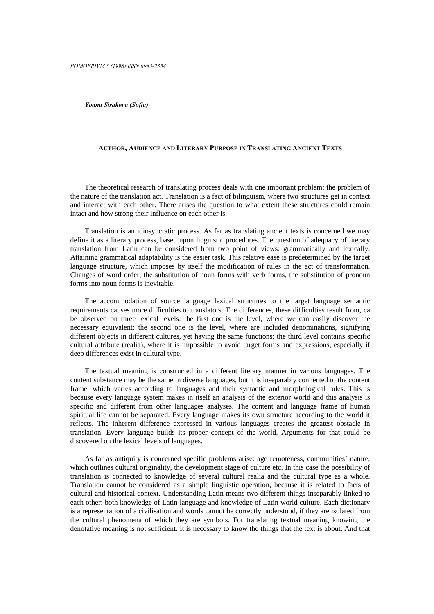Yoana Sirakova (Sofia)

### AUTHOR, AUDIENCE AND LITERARY PURPOSE IN TRANSLATING ANCIENT TEXTS

The theoretical research of translating process deals with one important problem: the problem of the nature of the translation act. Translation is a fact of bilinguism, where two structures get in contact and interact with each other. There arises the question to what extent these structures could remain intact and how strong their influence on each other is.

Translation is an idiosyncratic process. As far as translating ancient texts is concerned we may define it as a literary process, based upon linguistic procedures. The question of adequacy of literary translation from Latin can be considered from two point of views: grammatically and lexically. Attaining grammatical adaptability is the easier task. This relative ease is predetermined by the target language structure, which imposes by itself the modification of rules in the act of transformation. Changes of word order, the substitution of noun forms with verb forms, the substitution of pronoun forms into noun forms is inevitable.

The accommodation of source language lexical structures to the target language semantic requirements causes more difficulties to translators. The differences, these difficulties result from, ca be observed on three lexical levels: the first one is the level, where we can easily discover the necessary equivalent; the second one is the level, where are included denominations, signifying different objects in different cultures, yet having the same functions; the third level contains specific cultural attribute (realia), where it is impossible to avoid target forms and expressions, especially if deep differences exist in cultural type.

The textual meaning is constructed in a different literary manner in various languages. The content substance may be the same in diverse languages, but it is inseparably connected to the content frame, which varies according to languages and their syntactic and morphological rules. This is because every language system makes in itself an analysis of the exterior world and this analysis is specific and different from other languages analyses. The content and language frame of human spiritual life cannot be separated. Every language makes its own structure according to the world it reflects. The inherent difference expressed in various languages creates the greatest obstacle in translation. Every language builds its proper concept of the world. Arguments for that could be discovered on the lexical levels of languages.

As far as antiquity is concerned specific problems arise: age remoteness, communities' nature, which outlines cultural originality, the development stage of culture etc. In this case the possibility of translation is connected to knowledge of several cultural realia and the cultural type as a whole. Translation cannot be considered as a simple linguistic operation, because it is related to facts of cultural and historical context. Understanding Latin means two different things inseparably linked to each other: both knowledge of Latin language and knowledge of Latin world culture. Each dictionary is a representation of a civilisation and words cannot be correctly understood, if they are isolated from the cultural phenomena of which they are symbols. For translating textual meaning knowing the denotative meaning is not sufficient. It is necessary to know the things that the text is about. And that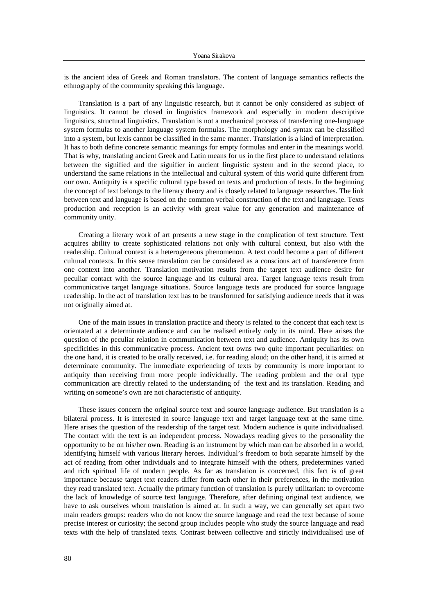is the ancient idea of Greek and Roman translators. The content of language semantics reflects the ethnography of the community speaking this language.

Translation is a part of any linguistic research, but it cannot be only considered as subject of linguistics. It cannot be closed in linguistics framework and especially in modern descriptive linguistics, structural linguistics. Translation is not a mechanical process of transferring one-language system formulas to another language system formulas. The morphology and syntax can be classified into a system, but lexis cannot be classified in the same manner. Translation is a kind of interpretation. It has to both define concrete semantic meanings for empty formulas and enter in the meanings world. That is why, translating ancient Greek and Latin means for us in the first place to understand relations between the signified and the signifier in ancient linguistic system and in the second place, to understand the same relations in the intellectual and cultural system of this world quite different from our own. Antiquity is a specific cultural type based on texts and production of texts. In the beginning the concept of text belongs to the literary theory and is closely related to language researches. The link between text and language is based on the common verbal construction of the text and language. Texts production and reception is an activity with great value for any generation and maintenance of community unity.

Creating a literary work of art presents a new stage in the complication of text structure. Text acquires ability to create sophisticated relations not only with cultural context, but also with the readership. Cultural context is a heterogeneous phenomenon. A text could become a part of different cultural contexts. In this sense translation can be considered as a conscious act of transference from one context into another. Translation motivation results from the target text audience desire for peculiar contact with the source language and its cultural area. Target language texts result from communicative target language situations. Source language texts are produced for source language readership. In the act of translation text has to be transformed for satisfying audience needs that it was not originally aimed at.

One of the main issues in translation practice and theory is related to the concept that each text is orientated at a determinate audience and can be realised entirely only in its mind. Here arises the question of the peculiar relation in communication between text and audience. Antiquity has its own specificities in this communicative process. Ancient text owns two quite important peculiarities: on the one hand, it is created to be orally received, i.e. for reading aloud; on the other hand, it is aimed at determinate community. The immediate experiencing of texts by community is more important to antiquity than receiving from more people individually. The reading problem and the oral type communication are directly related to the understanding of the text and its translation. Reading and writing on someone's own are not characteristic of antiquity.

These issues concern the original source text and source language audience. But translation is a bilateral process. It is interested in source language text and target language text at the same time. Here arises the question of the readership of the target text. Modern audience is quite individualised. The contact with the text is an independent process. Nowadays reading gives to the personality the opportunity to be on his/her own. Reading is an instrument by which man can be absorbed in a world, identifying himself with various literary heroes. Individual's freedom to both separate himself by the act of reading from other individuals and to integrate himself with the others, predetermines varied and rich spiritual life of modern people. As far as translation is concerned, this fact is of great importance because target text readers differ from each other in their preferences, in the motivation they read translated text. Actually the primary function of translation is purely utilitarian: to overcome the lack of knowledge of source text language. Therefore, after defining original text audience, we have to ask ourselves whom translation is aimed at. In such a way, we can generally set apart two main readers groups: readers who do not know the source language and read the text because of some precise interest or curiosity; the second group includes people who study the source language and read texts with the help of translated texts. Contrast between collective and strictly individualised use of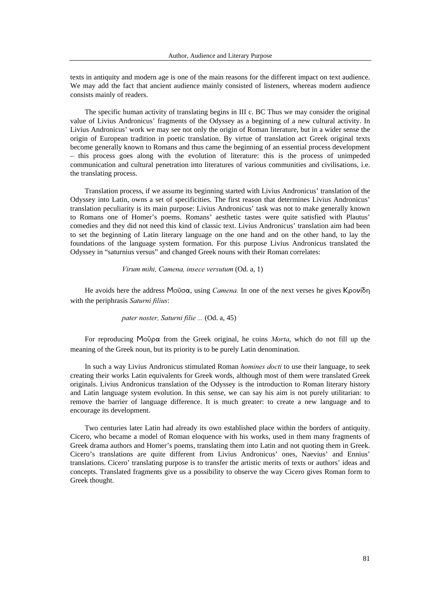texts in antiquity and modern age is one of the main reasons for the different impact on text audience. We may add the fact that ancient audience mainly consisted of listeners, whereas modern audience consists mainly of readers.

The specific human activity of translating begins in III c. BC Thus we may consider the original value of Livius Andronicus' fragments of the Odyssey as a beginning of a new cultural activity. In Livius Andronicus' work we may see not only the origin of Roman literature, but in a wider sense the origin of European tradition in poetic translation. By virtue of translation act Greek original texts become generally known to Romans and thus came the beginning of an essential process development – this process goes along with the evolution of literature: this is the process of unimpeded communication and cultural penetration into literatures of various communities and civilisations, i.e. the translating process.

Translation process, if we assume its beginning started with Livius Andronicus' translation of the Odyssey into Latin, owns a set of specificities. The first reason that determines Livius Andronicus' translation peculiarity is its main purpose: Livius Andronicus' task was not to make generally known to Romans one of Homer's poems. Romans' aesthetic tastes were quite satisfied with Plautus' comedies and they did not need this kind of classic text. Livius Andronicus' translation aim had been to set the beginning of Latin literary language on the one hand and on the other hand, to lay the foundations of the language system formation. For this purpose Livius Andronicus translated the Odyssey in "saturnius versus" and changed Greek nouns with their Roman correlates:

#### Virum mihi, Camena, insece versutum  $(Od. a, 1)$

He avoids here the address Mo $\tilde{\sigma}$  $\sigma$ , using *Camena*. In one of the next verses he gives Kpovi $\delta$ n with the periphrasis Saturni filius:

### pater noster, Saturni filie ... (Od. a, 45)

For reproducing MoÙ $\rho \alpha$  from the Greek original, he coins *Morta*, which do not fill up the meaning of the Greek noun, but its priority is to be purely Latin denomination.

In such a way Livius Andronicus stimulated Roman *homines docti* to use their language, to seek creating their works Latin equivalents for Greek words, although most of them were translated Greek originals. Livius Andronicus translation of the Odyssey is the introduction to Roman literary history and Latin language system evolution. In this sense, we can say his aim is not purely utilitarian: to remove the barrier of language difference. It is much greater: to create a new language and to encourage its development.

Two centuries later Latin had already its own established place within the borders of antiquity. Cicero, who became a model of Roman eloquence with his works, used in them many fragments of Greek drama authors and Homer's poems, translating them into Latin and not quoting them in Greek. Cicero's translations are quite different from Livius Andronicus' ones, Naevius' and Ennius' translations. Cicero' translating purpose is to transfer the artistic merits of texts or authors' ideas and concepts. Translated fragments give us a possibility to observe the way Cicero gives Roman form to Greek thought.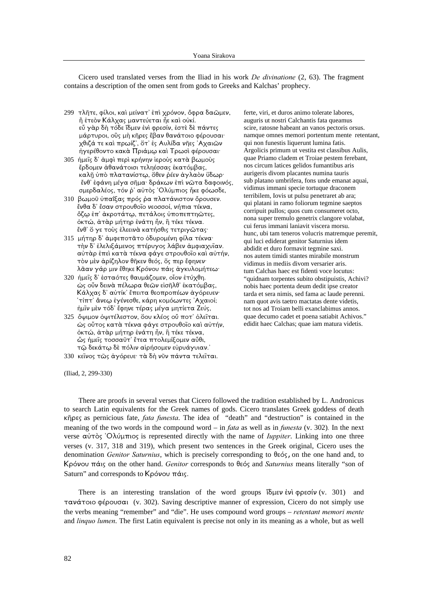Cicero used translated verses from the Iliad in his work *De divinatione*  $(2, 63)$ . The fragment contains a description of the omen sent from gods to Greeks and Kalchas' prophecy.

- 299 τλῆτε, φίλοι, καὶ μείνατ' ἐπὶ χρόνον, ὄφρα δαωμεν, ἢ ἐτεὸν Κάλχας μαντεύεται ἦε καὶ οὐκί. εὖ γὰρ δὴ τόδε ἴδμεν ἐνὶ φρεσίν, ἐστὲ δὲ πάντες μάρτυροι, οΰς μή κῆρες ἔβαν θανάτοιο φέρουσαι· χθιζά τε και πρωίζ', ὅτ' ἐς Αυλίδα νῆες 'Αχαιών ήγερέθοντο κακά Πριάμω καὶ Τρωσὶ φέρουσαι·
- $305$  ήμεῖς δ' άμφὶ περὶ κρήνην ἱεροὺς κατὰ βωμοὺς έρδομεν άθανάτοισι τεληέσσας εκατόμβας, καλῆ ὑπὸ πλατανίστω, ὅθεν ῥέεν ἀγλαὸν ὕδωρ· ένθ' έφάνη μέγα σῆμα· δράκων έπι νώτα δαφοινός, σμερδαλέος, τόν ο' αύτος Όλύμπιος ήκε φόωσδε,
- 310 βωμοῦ ὑπαΐξας πρός ρα πλατάνιστον ὄρουσεν.  $i$ νθα δ' έσαν στρουθοΐο νεοσσοί, νήπια τέκνα, όζω έπ' άκροτάτω, πετάλοις ύποπεπτηῶτες, όκτώ, άταρ μήτηρ ένάτη ήν, η τέκε τέκνα. ένθ' ὄ γε τοὺς ἐλεεινά κατήσθις τετριγῶτας·
- 315 μήτηρ δ' άμφεποτάτο όδυρομένη φίλα τέκνα· την δ' έλελιξάμενος πτέρυγος λάβεν άμφιαχυΐαν. αὐτὰρ ἐπεὶ κατὰ τέκνα φάγε στρουθοῖο καὶ αὐτήν, τον μεν αρίζηλον θήκεν θεός, ός περ έφηνεν· λᾶαν γάρ μιν έθηκε Κρόνου πάις άγκυλομήτεω·
- 320 ήμεῖς δ' έσταότες θαυμάζομεν, οἶον ἐτύχθη. ώς ούν δεινά πέλωρα θεών είσῆλθ' έκατόμβας, Κάλχας δ' αύτίκ' έπειτα θεοπροπέων άγόρευεν· ΄ τίπτ' άνεω έγένεσθε, κάρη κομόωντες 'Αχαιοί; ήμιν μέν τόδ' έφηνε τέρας μέγα μητίετα Ζεύς,
- 325 ὄψιμον ὀψιτέλεστον, ὅου κλέος οὖ ποτ' ὀλεῖται. ώς ούτος κατά τέκνα φάγε στρουθοΐο και αύτήν, όκτώ, άταρ μήτηρ ένάτη ήν, η τέκε τέκνα, ώς ήμεῖς τοσσαῦτ<sup>'</sup> ἔτεα πτολεμίξομεν αὖθι, τώ δεκάτω δε πόλιν αίρήσομεν εὐρυάγυιαν.<sup>3</sup>
- 330 κεΐνος τως άγόρευε· τά δή νῦν πάντα τελεΐται.

ferte, viri, et duros animo tolerate labores, auguris ut nostri Calchantis fata queamus scire, ratosne habeant an vanos pectoris orsus. namque omnes memori portentum mente retentant, qui non funestis liquerunt lumina fatis. Argolicis primum ut vestita est classibus Aulis, quae Priamo cladem et Troiae pestem ferebant, nos circum latices gelidos fumantibus aris aurigeris divom placantes numina tauris sub platano umbrifera, fons unde emanat aquai, vidimus immani specie tortuque draconem terribilem, Iovis ut pulsu penetraret ab ara; qui platani in ramo foliorum tegmine saeptos corripuit pullos; quos cum consumeret octo, nona super tremulo genetrix clangore volabat, cui ferus immani laniavit viscera morsu. hunc, ubi tam teneros volucris matremque peremit, qui luci ediderat genitor Saturnius idem abdidit et duro formavit tegmine saxi. nos autem timidi stantes mirabile monstrum vidimus in mediis divom versarier aris. tum Calchas haec est fidenti voce locutus: "quidnam torpentes subito obstipuistis, Achivi? nobis haec portenta deum dedit ipse creator tarda et sera nimis, sed fama ac laude perenni. nam quot avis taetro mactatas dente videtis, tot nos ad Troiam belli exanclabimus annos. quae decumo cadet et poena satiabit Achivos." edidit haec Calchas; quae iam matura videtis.

(Iliad, 2, 299-330)

There are proofs in several verses that Cicero followed the tradition established by L. Andronicus to search Latin equivalents for the Greek names of gods. Cicero translates Greek goddess of death  $\kappa$ nges as pernicious fate, *fata funesta*. The idea of "death" and "destruction" is contained in the meaning of the two words in the compound word – in *fata* as well as in *funesta* (v. 302). In the next verse  $\alpha \dot{\alpha} \tau \dot{\delta}$ ;  $\dot{\alpha}$   $\dot{\alpha}$  is represented directly with the name of *luppiter*. Linking into one three verses (v. 317, 318 and 319), which present two sentences in the Greek original, Cicero uses the denomination Genitor Saturnius, which is precisely corresponding to  $\theta \in \zeta$ , on the one hand and, to Kρόνου πάις on the other hand. Genitor corresponds to θεός and *Saturnius* means literally "son of Saturn" and corresponds to  $K\rho\acute{o}v$ ov  $\pi\acute{\alpha}$ <sub>15</sub>.

There is an interesting translation of the word groups  $\delta \xi$ uev  $\epsilon \nu \hat{i}$  (v. 301) and τανάτοιο φέρουσαι (v. 302). Saving descriptive manner of expression, Cicero do not simply use the verbs meaning "remember" and "die". He uses compound word groups – retentant memori mente and *linquo lumen*. The first Latin equivalent is precise not only in its meaning as a whole, but as well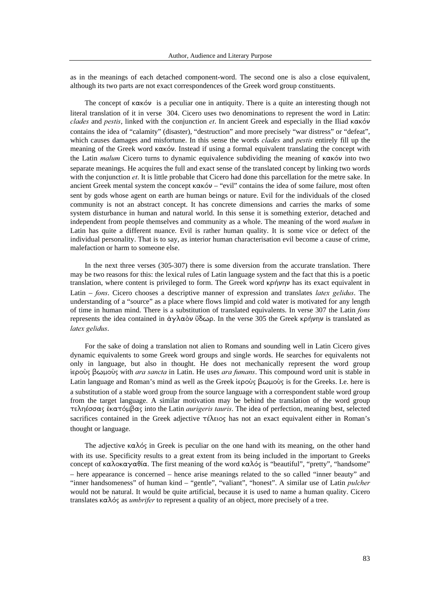as in the meanings of each detached component-word. The second one is also a close equivalent, although its two parts are not exact correspondences of the Greek word group constituents.

The concept of  $\kappa \alpha \kappa \acute{o}v$  is a peculiar one in antiquity. There is a quite an interesting though not literal translation of it in verse 304. Cicero uses two denominations to represent the word in Latin:  $clades$  and pestis, linked with the conjunction et. In ancient Greek and especially in the Iliad  $\kappa \alpha \kappa \acute{o}v$ contains the idea of "calamity" (disaster), "destruction" and more precisely "war distress" or "defeat", which causes damages and misfortune. In this sense the words *clades* and *pestis* entirely fill up the meaning of the Greek word  $\kappa \alpha \kappa \delta \nu$ . Instead if using a formal equivalent translating the concept with the Latin *malum* Cicero turns to dynamic equivalence subdividing the meaning of  $\kappa \alpha \kappa \acute{o}v$  into two separate meanings. He acquires the full and exact sense of the translated concept by linking two words with the conjunction  $et$ . It is little probable that Cicero had done this parcellation for the metre sake. In ancient Greek mental system the concept  $\kappa \alpha \kappa \acute{o}v$  – "evil" contains the idea of some failure, most often sent by gods whose agent on earth are human beings or nature. Evil for the individuals of the closed community is not an abstract concept. It has concrete dimensions and carries the marks of some system disturbance in human and natural world. In this sense it is something exterior, detached and independent from people themselves and community as a whole. The meaning of the word malum in Latin has quite a different nuance. Evil is rather human quality. It is some vice or defect of the individual personality. That is to say, as interior human characterisation evil become a cause of crime, malefaction or harm to someone else.

In the next three verses (305-307) there is some diversion from the accurate translation. There may be two reasons for this: the lexical rules of Latin language system and the fact that this is a poetic translation, where content is privileged to form. The Greek word kontrypty has its exact equivalent in Latin – fons. Cicero chooses a descriptive manner of expression and translates *latex gelidus*. The understanding of a "source" as a place where flows limpid and cold water is motivated for any length of time in human mind. There is a substitution of translated equivalents. In verse 307 the Latin fons represents the idea contained in άγλαὸν ὕδωρ. In the verse 305 the Greek κρήνην is translated as latex gelidus.

For the sake of doing a translation not alien to Romans and sounding well in Latin Cicero gives dynamic equivalents to some Greek word groups and single words. He searches for equivalents not only in language, but also in thought. He does not mechanically represent the word group iερούς βωμούς with *ara sancta* in Latin. He uses *ara fumans*. This compound word unit is stable in Latin language and Roman's mind as well as the Greek *iepoùs*  $\beta \omega \mu \omega \nu \sigma$  is for the Greeks. I.e. here is a substitution of a stable word group from the source language with a correspondent stable word group from the target language. A similar motivation may be behind the translation of the word group  $\tau$ εληέσσας έκατόμβας into the Latin *aurigeris tauris*. The idea of perfection, meaning best, selected sacrifices contained in the Greek adjective  $\tau \in \lambda$  and  $\lambda$  and  $\lambda$  and exact equivalent either in Roman's thought or language.

The adjective  $\kappa \alpha \lambda \dot{\varphi}$  in Greek is peculiar on the one hand with its meaning, on the other hand with its use. Specificity results to a great extent from its being included in the important to Greeks concept of  $\kappa \alpha \lambda$  ok $\alpha \gamma \alpha \theta$  is The first meaning of the word  $\kappa \alpha \lambda \phi$  is "beautiful", "pretty", "handsome" – here appearance is concerned – hence arise meanings related to the so called "inner beauty" and "inner handsomeness" of human kind – "gentle", "valiant", "honest". A similar use of Latin pulcher would not be natural. It would be quite artificial, because it is used to name a human quality. Cicero translates  $\kappa \alpha \lambda \dot{\alpha}$  as *umbrifer* to represent a quality of an object, more precisely of a tree.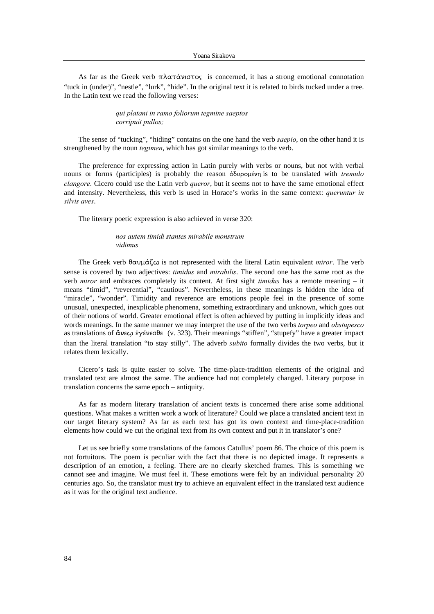As far as the Greek verb  $\pi\lambda\alpha\tau\dot{\alpha}\nu\sigma\tau$  is concerned, it has a strong emotional connotation "tuck in (under)", "nestle", "lurk", "hide". In the original text it is related to birds tucked under a tree. In the Latin text we read the following verses:

## qui platani in ramo foliorum tegmine saeptos corripuit pullos;

The sense of "tucking", "hiding" contains on the one hand the verb saepio, on the other hand it is strengthened by the noun *tegimen*, which has got similar meanings to the verb.

The preference for expressing action in Latin purely with verbs or nouns, but not with verbal nouns or forms (participles) is probably the reason  $\delta\delta\nu\rho\phi\psi\phi$  is to be translated with *tremulo* clangore. Cicero could use the Latin verb *queror*, but it seems not to have the same emotional effect and intensity. Nevertheless, this verb is used in Horace's works in the same context: queruntur in silvis aves.

The literary poetic expression is also achieved in verse 320:

# nos autem timidi stantes mirabile monstrum vidimus

The Greek verb  $\theta \alpha \nu \mu \dot{\alpha} \zeta \omega$  is not represented with the literal Latin equivalent *miror*. The verb sense is covered by two adjectives: *timidus* and *mirabilis*. The second one has the same root as the verb *miror* and embraces completely its content. At first sight *timidus* has a remote meaning – it means "timid", "reverential", "cautious". Nevertheless, in these meanings is hidden the idea of "miracle", "wonder". Timidity and reverence are emotions people feel in the presence of some unusual, unexpected, inexplicable phenomena, something extraordinary and unknown, which goes out of their notions of world. Greater emotional effect is often achieved by putting in implicitly ideas and words meanings. In the same manner we may interpret the use of the two verbs *torpeo* and *obstupesco* as translations of  $\text{KveQ}$   $\epsilon$   $\gamma \epsilon$  vector (v. 323). Their meanings "stiffen", "stupefy" have a greater impact than the literal translation "to stay stilly". The adverb *subito* formally divides the two verbs, but it relates them lexically.

Cicero's task is quite easier to solve. The time-place-tradition elements of the original and translated text are almost the same. The audience had not completely changed. Literary purpose in translation concerns the same epoch – antiquity.

As far as modern literary translation of ancient texts is concerned there arise some additional questions. What makes a written work a work of literature? Could we place a translated ancient text in our target literary system? As far as each text has got its own context and time-place-tradition elements how could we cut the original text from its own context and put it in translator's one?

Let us see briefly some translations of the famous Catullus' poem 86. The choice of this poem is not fortuitous. The poem is peculiar with the fact that there is no depicted image. It represents a description of an emotion, a feeling. There are no clearly sketched frames. This is something we cannot see and imagine. We must feel it. These emotions were felt by an individual personality 20 centuries ago. So, the translator must try to achieve an equivalent effect in the translated text audience as it was for the original text audience.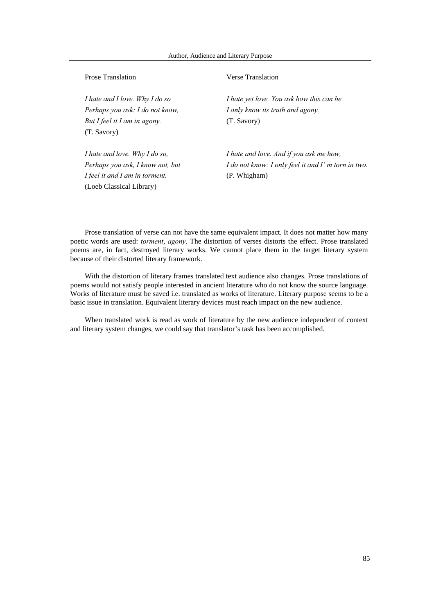| <b>Prose Translation</b>         | <b>Verse Translation</b>                            |
|----------------------------------|-----------------------------------------------------|
| I hate and I love. Why I do so   | I hate yet love. You ask how this can be.           |
| Perhaps you ask: I do not know,  | I only know its truth and agony.                    |
| But I feel it I am in agony.     | (T. Savory)                                         |
| (T. Savory)                      |                                                     |
| I hate and love. Why I do so,    | I hate and love. And if you ask me how,             |
| Perhaps you ask, I know not, but | I do not know: I only feel it and I' m torn in two. |
| I feel it and I am in torment.   | (P. Whigham)                                        |
| (Loeb Classical Library)         |                                                     |

Prose translation of verse can not have the same equivalent impact. It does not matter how many poetic words are used: torment, agony. The distortion of verses distorts the effect. Prose translated poems are, in fact, destroyed literary works. We cannot place them in the target literary system because of their distorted literary framework.

With the distortion of literary frames translated text audience also changes. Prose translations of poems would not satisfy people interested in ancient literature who do not know the source language. Works of literature must be saved i.e. translated as works of literature. Literary purpose seems to be a basic issue in translation. Equivalent literary devices must reach impact on the new audience.

When translated work is read as work of literature by the new audience independent of context and literary system changes, we could say that translator's task has been accomplished.